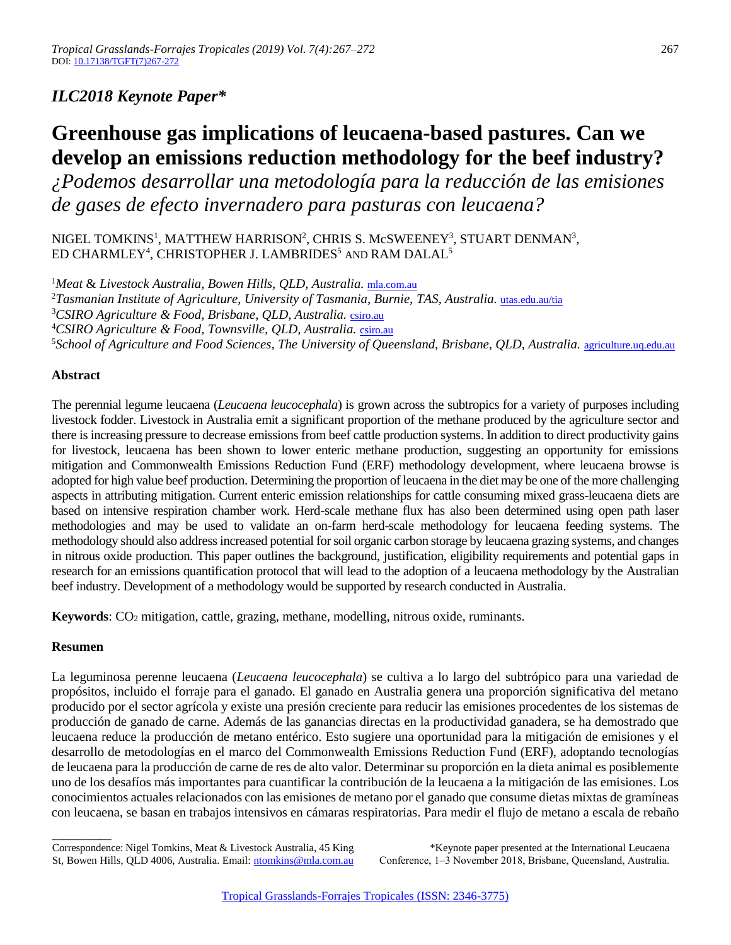# *ILC2018 Keynote Paper\**

# **Greenhouse gas implications of leucaena-based pastures. Can we develop an emissions reduction methodology for the beef industry?**

*¿Podemos desarrollar una metodología para la reducción de las emisiones de gases de efecto invernadero para pasturas con leucaena?*

NIGEL TOMKINS<sup>1</sup>, MATTHEW HARRISON<sup>2</sup>, CHRIS S. McSWEENEY<sup>3</sup>, STUART DENMAN<sup>3</sup>, ED CHARMLEY<sup>4</sup>, CHRISTOPHER J. LAMBRIDES<sup>5</sup> AND RAM DALAL<sup>5</sup>

<sup>1</sup> Meat & Livestock Australia, Bowen Hills, QLD, Australia. [mla.com.au](http://www.mla.com.au/) <sup>2</sup>Tasmanian Institute of Agriculture, University of Tasmania, Burnie, TAS, Australia, [utas.edu.au/tia](https://www.utas.edu.au/tia) <sup>3</sup>*CSIRO Agriculture & Food, Brisbane, QLD, Australia.* [csiro.au](http://www.csiro.au/en/Research/AF) <sup>4</sup>*CSIRO Agriculture & Food, Townsville, QLD, Australia.* [csiro.au](https://www.csiro.au/en/Locations/Qld/Townsville-ATSIP) <sup>5</sup>School of Agriculture and Food Sciences, The University of Queensland, Brisbane, QLD, Australia. <u>[agriculture.uq.edu.au](https://agriculture.uq.edu.au/)</u>

# **Abstract**

The perennial legume leucaena (*Leucaena leucocephala*) is grown across the subtropics for a variety of purposes including livestock fodder. Livestock in Australia emit a significant proportion of the methane produced by the agriculture sector and there is increasing pressure to decrease emissions from beef cattle production systems. In addition to direct productivity gains for livestock, leucaena has been shown to lower enteric methane production, suggesting an opportunity for emissions mitigation and Commonwealth Emissions Reduction Fund (ERF) methodology development, where leucaena browse is adopted for high value beef production. Determining the proportion of leucaena in the diet may be one of the more challenging aspects in attributing mitigation. Current enteric emission relationships for cattle consuming mixed grass-leucaena diets are based on intensive respiration chamber work. Herd-scale methane flux has also been determined using open path laser methodologies and may be used to validate an on-farm herd-scale methodology for leucaena feeding systems. The methodology should also address increased potential for soil organic carbon storage by leucaena grazing systems, and changes in nitrous oxide production. This paper outlines the background, justification, eligibility requirements and potential gaps in research for an emissions quantification protocol that will lead to the adoption of a leucaena methodology by the Australian beef industry. Development of a methodology would be supported by research conducted in Australia.

**Keywords**: CO<sup>2</sup> mitigation, cattle, grazing, methane, modelling, nitrous oxide, ruminants.

# **Resumen**

\_\_\_\_\_\_\_\_\_\_\_

La leguminosa perenne leucaena (*Leucaena leucocephala*) se cultiva a lo largo del subtrópico para una variedad de propósitos, incluido el forraje para el ganado. El ganado en Australia genera una proporción significativa del metano producido por el sector agrícola y existe una presión creciente para reducir las emisiones procedentes de los sistemas de producción de ganado de carne. Además de las ganancias directas en la productividad ganadera, se ha demostrado que leucaena reduce la producción de metano entérico. Esto sugiere una oportunidad para la mitigación de emisiones y el desarrollo de metodologías en el marco del Commonwealth Emissions Reduction Fund (ERF), adoptando tecnologías de leucaena para la producción de carne de res de alto valor. Determinar su proporción en la dieta animal es posiblemente uno de los desafíos más importantes para cuantificar la contribución de la leucaena a la mitigación de las emisiones. Los conocimientos actuales relacionados con las emisiones de metano por el ganado que consume dietas mixtas de gramíneas con leucaena, se basan en trabajos intensivos en cámaras respiratorias. Para medir el flujo de metano a escala de rebaño

Correspondence: Nigel Tomkins, Meat & Livestock Australia, 45 King St, Bowen Hills, QLD 4006, Australia. Email[: ntomkins@mla.com.au](mailto:ntomkins@mla.com.au)

\*Keynote paper presented at the International Leucaena Conference, 1–3 November 2018, Brisbane, Queensland, Australia.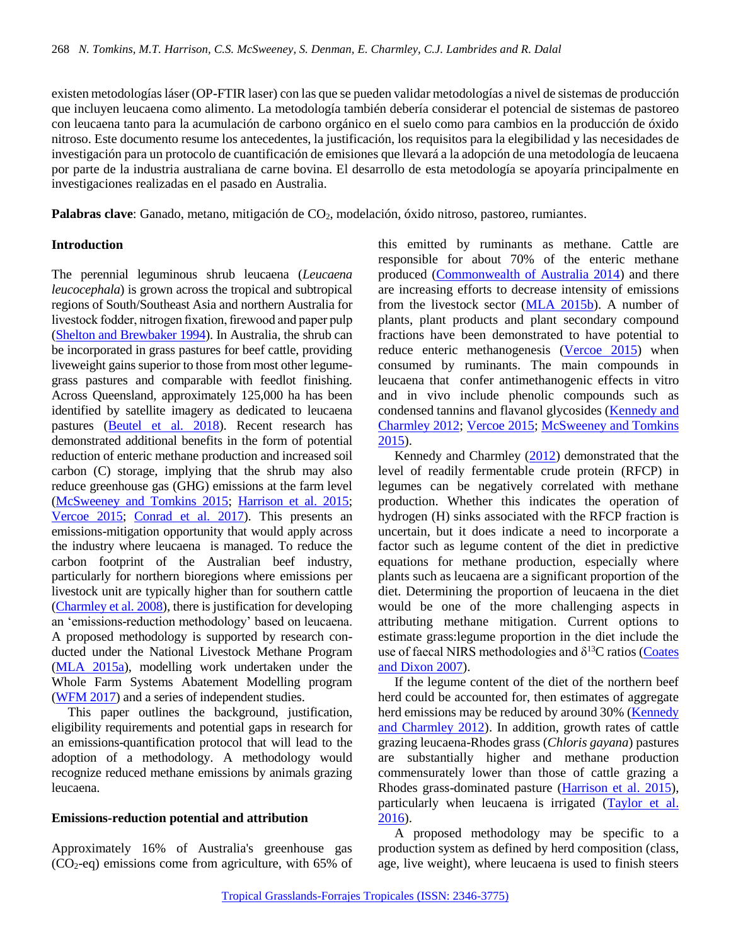existen metodologías láser (OP-FTIR laser) con las que se pueden validar metodologías a nivel de sistemas de producción que incluyen leucaena como alimento. La metodología también debería considerar el potencial de sistemas de pastoreo con leucaena tanto para la acumulación de carbono orgánico en el suelo como para cambios en la producción de óxido nitroso. Este documento resume los antecedentes, la justificación, los requisitos para la elegibilidad y las necesidades de investigación para un protocolo de cuantificación de emisiones que llevará a la adopción de una metodología de leucaena por parte de la industria australiana de carne bovina. El desarrollo de esta metodología se apoyaría principalmente en investigaciones realizadas en el pasado en Australia.

**Palabras clave**: Ganado, metano, mitigación de CO<sub>2</sub>, modelación, óxido nitroso, pastoreo, rumiantes.

# **Introduction**

The perennial leguminous shrub leucaena (*Leucaena leucocephala*) is grown across the tropical and subtropical regions of South/Southeast Asia and northern Australia for livestock fodder, nitrogen fixation, firewood and paper pulp [\(Shelton and Brewbaker 1994\)](#page-5-0). In Australia, the shrub can be incorporated in grass pastures for beef cattle, providing liveweight gains superior to those from most other legumegrass pastures and comparable with feedlot finishing. Across Queensland, approximately 125,000 ha has been identified by satellite imagery as dedicated to leucaena pastures [\(Beutel et al. 2018\)](#page-4-0). Recent research has demonstrated additional benefits in the form of potential reduction of enteric methane production and increased soil carbon (C) storage, implying that the shrub may also reduce greenhouse gas (GHG) emissions at the farm level [\(McSweeney and Tomkins 2015;](#page-4-1) [Harrison et al. 2015;](#page-4-2) [Vercoe 2015;](#page-5-1) [Conrad et al. 2017\)](#page-4-3). This presents an emissions-mitigation opportunity that would apply across the industry where leucaena is managed. To reduce the carbon footprint of the Australian beef industry, particularly for northern bioregions where emissions per livestock unit are typically higher than for southern cattle [\(Charmley et al. 2008\)](#page-4-4), there is justification for developing an 'emissions-reduction methodology' based on leucaena. A proposed methodology is supported by research conducted under the National Livestock Methane Program [\(MLA 2015a\)](#page-4-5), modelling work undertaken under the Whole Farm Systems Abatement Modelling program [\(WFM 2017\)](#page-5-2) and a series of independent studies.

This paper outlines the background, justification, eligibility requirements and potential gaps in research for an emissions-quantification protocol that will lead to the adoption of a methodology. A methodology would recognize reduced methane emissions by animals grazing leucaena.

# **Emissions-reduction potential and attribution**

Approximately 16% of Australia's greenhouse gas  $(CO<sub>2</sub>-eq)$  emissions come from agriculture, with 65% of this emitted by ruminants as methane. Cattle are responsible for about 70% of the enteric methane produced [\(Commonwealth of Australia 2014\)](#page-4-6) and there are increasing efforts to decrease intensity of emissions from the livestock sector [\(MLA 2015b\)](#page-4-7). A number of plants, plant products and plant secondary compound fractions have been demonstrated to have potential to reduce enteric methanogenesis [\(Vercoe 2015\)](#page-5-1) when consumed by ruminants. The main compounds in leucaena that confer antimethanogenic effects in vitro and in vivo include phenolic compounds such as condensed tannins and flavanol glycosides [\(Kennedy and](#page-4-8)  [Charmley 2012;](#page-4-8) [Vercoe 2015;](#page-5-1) [McSweeney and Tomkins](#page-4-1)  [2015\)](#page-4-1).

Kennedy and Charmley [\(2012\)](#page-4-8) demonstrated that the level of readily fermentable crude protein (RFCP) in legumes can be negatively correlated with methane production. Whether this indicates the operation of hydrogen (H) sinks associated with the RFCP fraction is uncertain, but it does indicate a need to incorporate a factor such as legume content of the diet in predictive equations for methane production, especially where plants such as leucaena are a significant proportion of the diet. Determining the proportion of leucaena in the diet would be one of the more challenging aspects in attributing methane mitigation. Current options to estimate grass:legume proportion in the diet include the use of faecal NIRS methodologies and  $\delta^{13}$ C ratios (Coates [and Dixon 2007\)](#page-4-9).

If the legume content of the diet of the northern beef herd could be accounted for, then estimates of aggregate herd emissions may be reduced by around 30% [\(Kennedy](#page-4-8)  [and Charmley 2012\)](#page-4-8). In addition, growth rates of cattle grazing leucaena-Rhodes grass (*Chloris gayana*) pastures are substantially higher and methane production commensurately lower than those of cattle grazing a Rhodes grass-dominated pasture [\(Harrison et al. 2015\)](#page-4-2), particularly when leucaena is irrigated [\(Taylor et al.](#page-5-3)  [2016\)](#page-5-3).

A proposed methodology may be specific to a production system as defined by herd composition (class, age, live weight), where leucaena is used to finish steers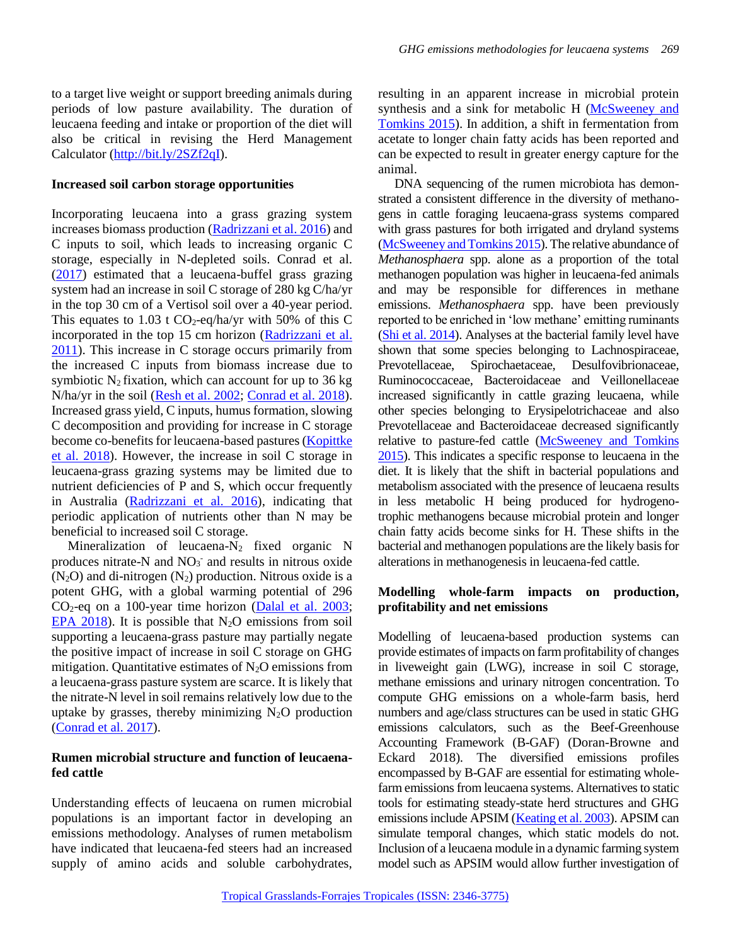to a target live weight or support breeding animals during periods of low pasture availability. The duration of leucaena feeding and intake or proportion of the diet will also be critical in revising the Herd Management Calculator [\(http://bit.ly/2SZf2qI\)](http://bit.ly/2SZf2qI).

#### **Increased soil carbon storage opportunities**

Incorporating leucaena into a grass grazing system increases biomass production [\(Radrizzani et al. 2016\)](#page-5-4) and C inputs to soil, which leads to increasing organic C storage, especially in N-depleted soils. Conrad et al. [\(2017\)](#page-4-3) estimated that a leucaena-buffel grass grazing system had an increase in soil C storage of 280 kg C/ha/yr in the top 30 cm of a Vertisol soil over a 40-year period. This equates to 1.03 t  $CO_2$ -eq/ha/yr with 50% of this C incorporated in the top 15 cm horizon (Radrizzani et al. [2011\)](#page-5-5). This increase in C storage occurs primarily from the increased C inputs from biomass increase due to symbiotic  $N_2$  fixation, which can account for up to 36 kg N/ha/yr in the soil [\(Resh et al. 2002;](#page-5-6) [Conrad et al. 2018\)](#page-4-3). Increased grass yield, C inputs, humus formation, slowing C decomposition and providing for increase in C storage become co-benefits for leucaena-based pastures [\(Kopittke](#page-4-10)  [et al. 2018\)](#page-4-10). However, the increase in soil C storage in leucaena-grass grazing systems may be limited due to nutrient deficiencies of P and S, which occur frequently in Australia [\(Radrizzani et al. 2016\)](#page-5-4), indicating that periodic application of nutrients other than N may be beneficial to increased soil C storage.

Mineralization of leucaena- $N_2$  fixed organic N produces nitrate-N and  $NO<sub>3</sub>$  and results in nitrous oxide  $(N_2O)$  and di-nitrogen  $(N_2)$  production. Nitrous oxide is a potent GHG, with a global warming potential of 296 CO2-eq on a 100-year time horizon [\(Dalal et al.](#page-4-11) 2003; [EPA 2018\)](#page-4-12). It is possible that  $N_2O$  emissions from soil supporting a leucaena-grass pasture may partially negate the positive impact of increase in soil C storage on GHG mitigation. Quantitative estimates of  $N_2O$  emissions from a leucaena-grass pasture system are scarce. It is likely that the nitrate-N level in soil remains relatively low due to the uptake by grasses, thereby minimizing  $N_2O$  production [\(Conrad et al. 2017\)](#page-4-3).

# **Rumen microbial structure and function of leucaenafed cattle**

Understanding effects of leucaena on rumen microbial populations is an important factor in developing an emissions methodology. Analyses of rumen metabolism have indicated that leucaena-fed steers had an increased supply of amino acids and soluble carbohydrates,

resulting in an apparent increase in microbial protein synthesis and a sink for metabolic H [\(McSweeney and](#page-4-1)  [Tomkins 2015\)](#page-4-1). In addition, a shift in fermentation from acetate to longer chain fatty acids has been reported and can be expected to result in greater energy capture for the animal.

DNA sequencing of the rumen microbiota has demonstrated a consistent difference in the diversity of methanogens in cattle foraging leucaena-grass systems compared with grass pastures for both irrigated and dryland systems [\(McSweeney and Tomkins 2015\)](#page-4-1). The relative abundance of *Methanosphaera* spp. alone as a proportion of the total methanogen population was higher in leucaena-fed animals and may be responsible for differences in methane emissions. *Methanosphaera* spp. have been previously reported to be enriched in 'low methane' emitting ruminants [\(Shi et al. 2014\)](#page-5-7). Analyses at the bacterial family level have shown that some species belonging to Lachnospiraceae, Prevotellaceae, Spirochaetaceae, Desulfovibrionaceae, Ruminococcaceae, Bacteroidaceae and Veillonellaceae increased significantly in cattle grazing leucaena, while other species belonging to Erysipelotrichaceae and also Prevotellaceae and Bacteroidaceae decreased significantly relative to pasture-fed cattle [\(McSweeney and Tomkins](#page-4-1)  [2015\)](#page-4-1). This indicates a specific response to leucaena in the diet. It is likely that the shift in bacterial populations and metabolism associated with the presence of leucaena results in less metabolic H being produced for hydrogenotrophic methanogens because microbial protein and longer chain fatty acids become sinks for H. These shifts in the bacterial and methanogen populations are the likely basis for alterations in methanogenesis in leucaena-fed cattle.

# **Modelling whole-farm impacts on production, profitability and net emissions**

Modelling of leucaena-based production systems can provide estimates of impacts on farm profitability of changes in liveweight gain (LWG), increase in soil C storage, methane emissions and urinary nitrogen concentration. To compute GHG emissions on a whole-farm basis, herd numbers and age/class structures can be used in static GHG emissions calculators, such as the Beef-Greenhouse Accounting Framework (B-GAF) (Doran-Browne and Eckard 2018). The diversified emissions profiles encompassed by B-GAF are essential for estimating wholefarm emissions from leucaena systems. Alternatives to static tools for estimating steady-state herd structures and GHG emissions include APSIM [\(Keating et al. 2003\)](#page-4-13). APSIM can simulate temporal changes, which static models do not. Inclusion of a leucaena module in a dynamic farming system model such as APSIM would allow further investigation of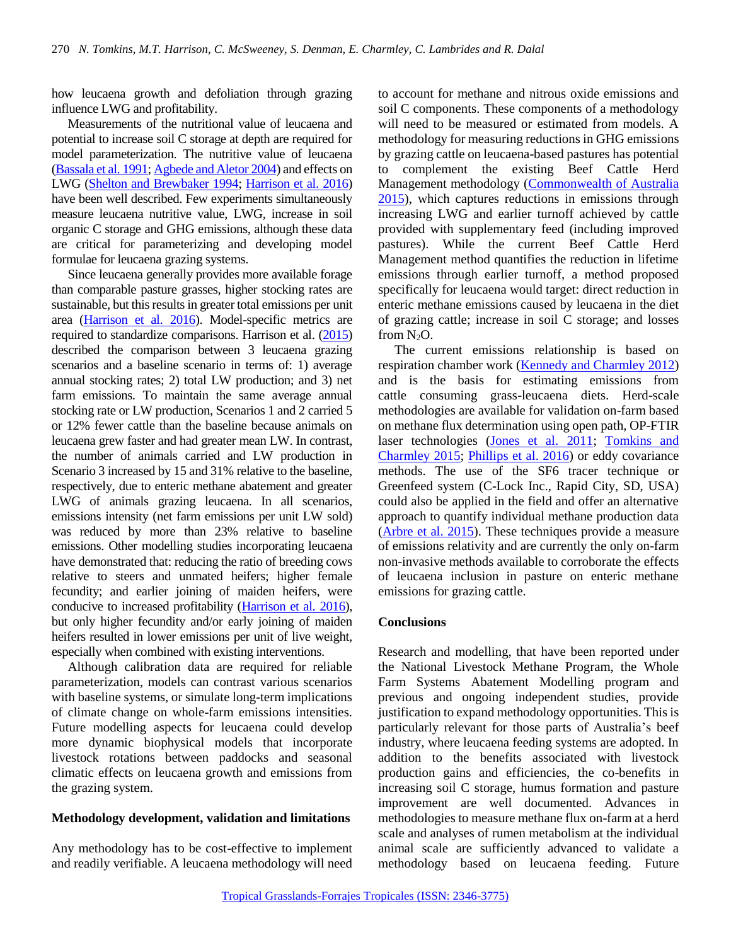how leucaena growth and defoliation through grazing influence LWG and profitability.

Measurements of the nutritional value of leucaena and potential to increase soil C storage at depth are required for model parameterization. The nutritive value of leucaena [\(Bassala et al. 1991;](#page-4-14) [Agbede and Aletor 2004\)](#page-4-15) and effects on LWG [\(Shelton and Brewbaker 1994;](#page-5-0) [Harrison et al. 2016\)](#page-4-16) have been well described. Few experiments simultaneously measure leucaena nutritive value, LWG, increase in soil organic C storage and GHG emissions, although these data are critical for parameterizing and developing model formulae for leucaena grazing systems.

Since leucaena generally provides more available forage than comparable pasture grasses, higher stocking rates are sustainable, but this results in greater total emissions per unit area [\(Harrison et al. 2016\)](#page-4-16). Model-specific metrics are required to standardize comparisons. Harrison et al. [\(2015\)](#page-4-2) described the comparison between 3 leucaena grazing scenarios and a baseline scenario in terms of: 1) average annual stocking rates; 2) total LW production; and 3) net farm emissions. To maintain the same average annual stocking rate or LW production, Scenarios 1 and 2 carried 5 or 12% fewer cattle than the baseline because animals on leucaena grew faster and had greater mean LW. In contrast, the number of animals carried and LW production in Scenario 3 increased by 15 and 31% relative to the baseline, respectively, due to enteric methane abatement and greater LWG of animals grazing leucaena. In all scenarios, emissions intensity (net farm emissions per unit LW sold) was reduced by more than 23% relative to baseline emissions. Other modelling studies incorporating leucaena have demonstrated that: reducing the ratio of breeding cows relative to steers and unmated heifers; higher female fecundity; and earlier joining of maiden heifers, were conducive to increased profitability [\(Harrison et al. 2016\)](#page-4-16), but only higher fecundity and/or early joining of maiden heifers resulted in lower emissions per unit of live weight, especially when combined with existing interventions.

Although calibration data are required for reliable parameterization, models can contrast various scenarios with baseline systems, or simulate long-term implications of climate change on whole-farm emissions intensities. Future modelling aspects for leucaena could develop more dynamic biophysical models that incorporate livestock rotations between paddocks and seasonal climatic effects on leucaena growth and emissions from the grazing system.

#### **Methodology development, validation and limitations**

Any methodology has to be cost-effective to implement and readily verifiable. A leucaena methodology will need to account for methane and nitrous oxide emissions and soil C components. These components of a methodology will need to be measured or estimated from models. A methodology for measuring reductions in GHG emissions by grazing cattle on leucaena-based pastures has potential to complement the existing Beef Cattle Herd Management methodology [\(Commonwealth of Australia](#page-4-17)  [2015\)](#page-4-17), which captures reductions in emissions through increasing LWG and earlier turnoff achieved by cattle provided with supplementary feed (including improved pastures). While the current Beef Cattle Herd Management method quantifies the reduction in lifetime emissions through earlier turnoff, a method proposed specifically for leucaena would target: direct reduction in enteric methane emissions caused by leucaena in the diet of grazing cattle; increase in soil C storage; and losses from  $N_2O$ .

The current emissions relationship is based on respiration chamber work [\(Kennedy and Charmley 2012\)](#page-4-8) and is the basis for estimating emissions from cattle consuming grass-leucaena diets. Herd-scale methodologies are available for validation on-farm based on methane flux determination using open path, OP-FTIR laser technologies [\(Jones et al. 2011;](#page-4-18) Tomkins and [Charmley 2015;](#page-5-8) [Phillips et al. 2016\)](#page-4-19) or eddy covariance methods. The use of the SF6 tracer technique or Greenfeed system (C-Lock Inc., Rapid City, SD, USA) could also be applied in the field and offer an alternative approach to quantify individual methane production data [\(Arbre et al. 2015\)](#page-4-20). These techniques provide a measure of emissions relativity and are currently the only on-farm non-invasive methods available to corroborate the effects of leucaena inclusion in pasture on enteric methane emissions for grazing cattle.

#### **Conclusions**

Research and modelling, that have been reported under the National Livestock Methane Program, the Whole Farm Systems Abatement Modelling program and previous and ongoing independent studies, provide justification to expand methodology opportunities. This is particularly relevant for those parts of Australia's beef industry, where leucaena feeding systems are adopted. In addition to the benefits associated with livestock production gains and efficiencies, the co-benefits in increasing soil C storage, humus formation and pasture improvement are well documented. Advances in methodologies to measure methane flux on-farm at a herd scale and analyses of rumen metabolism at the individual animal scale are sufficiently advanced to validate a methodology based on leucaena feeding. Future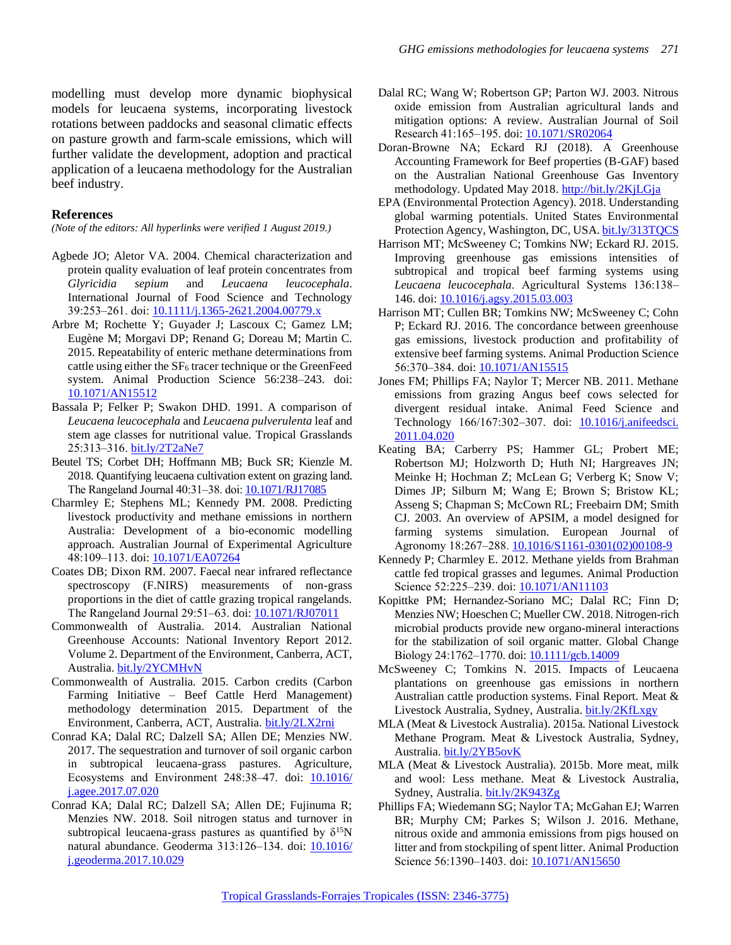modelling must develop more dynamic biophysical models for leucaena systems, incorporating livestock rotations between paddocks and seasonal climatic effects on pasture growth and farm-scale emissions, which will further validate the development, adoption and practical application of a leucaena methodology for the Australian beef industry.

#### **References**

*(Note of the editors: All hyperlinks were verified 1 August 2019.)*

- <span id="page-4-15"></span>Agbede JO; Aletor VA. 2004. Chemical characterization and protein quality evaluation of leaf protein concentrates from *Glyricidia sepium* and *Leucaena leucocephala*. International Journal of Food Science and Technology 39:253‒261. doi[: 10.1111/j.1365-2621.2004.00779.x](https://doi.org/10.1111/j.1365-2621.2004.00779.x)
- <span id="page-4-20"></span>Arbre M; Rochette Y; Guyader J; Lascoux C; Gamez LM; Eugène M; Morgavi DP; Renand G; Doreau M; Martin C. 2015. Repeatability of enteric methane determinations from cattle using either the  $SF<sub>6</sub>$  tracer technique or the GreenFeed system. Animal Production Science 56:238-243. doi: [10.1071/AN15512](https://doi.org/10.1071/AN15512)
- <span id="page-4-14"></span>Bassala P; Felker P; Swakon DHD. 1991. A comparison of *Leucaena leucocephala* and *Leucaena pulverulenta* leaf and stem age classes for nutritional value. Tropical Grasslands 25:313‒316[. bit.ly/2T2aNe7](http://bit.ly/2T2aNe7)
- <span id="page-4-0"></span>Beutel TS; Corbet DH; Hoffmann MB; Buck SR; Kienzle M. 2018. Quantifying leucaena cultivation extent on grazing land. The Rangeland Journal 40:31-38. doi[: 10.1071/RJ17085](https://doi.org/10.1071/RJ17085)
- <span id="page-4-4"></span>Charmley E; Stephens ML; Kennedy PM. 2008. Predicting livestock productivity and methane emissions in northern Australia: Development of a bio-economic modelling approach. Australian Journal of Experimental Agriculture 48:109‒113. doi[: 10.1071/EA07264](https://doi.org/10.1071/EA07264)
- <span id="page-4-9"></span>Coates DB; Dixon RM. 2007. Faecal near infrared reflectance spectroscopy (F.NIRS) measurements of non-grass proportions in the diet of cattle grazing tropical rangelands. The Rangeland Journal 29:51–63. doi: [10.1071/RJ07011](https://doi.org/10.1071/RJ07011)
- <span id="page-4-6"></span>Commonwealth of Australia. 2014. Australian National Greenhouse Accounts: National Inventory Report 2012. Volume 2. Department of the Environment, Canberra, ACT, Australia. [bit.ly/2YCMHvN](http://bit.ly/2YCMHvN)
- <span id="page-4-17"></span>Commonwealth of Australia. 2015. Carbon credits (Carbon Farming Initiative – Beef Cattle Herd Management) methodology determination 2015. Department of the Environment, Canberra, ACT, Australia. [bit.ly/2LX2rni](http://bit.ly/2LX2rni)
- <span id="page-4-3"></span>Conrad KA; Dalal RC; Dalzell SA; Allen DE; Menzies NW. 2017. The sequestration and turnover of soil organic carbon in subtropical leucaena-grass pastures. Agriculture, Ecosystems and Environment 248:38-47. doi: [10.1016/](https://doi.org/10.1016/j.agee.2017.07.020) [j.agee.2017.07.020](https://doi.org/10.1016/j.agee.2017.07.020)
- Conrad KA; Dalal RC; Dalzell SA; Allen DE; Fujinuma R; Menzies NW. 2018. Soil nitrogen status and turnover in subtropical leucaena-grass pastures as quantified by  $\delta^{15}N$ natural abundance. Geoderma 313:126-134. doi: [10.1016/](https://doi.org/10.1016/j.geoderma.2017.10.029) [j.geoderma.2017.10.029](https://doi.org/10.1016/j.geoderma.2017.10.029)
- <span id="page-4-11"></span>Dalal RC; Wang W; Robertson GP; Parton WJ. 2003. Nitrous oxide emission from Australian agricultural lands and mitigation options: A review. Australian Journal of Soil Research 41:165‒195. doi[: 10.1071/SR02064](https://doi.org/10.1071/SR02064)
- Doran-Browne NA; Eckard RJ (2018). A Greenhouse Accounting Framework for Beef properties (B-GAF) based on the Australian National Greenhouse Gas Inventory methodology. Updated May 2018. http://bit.ly/2KjLGja
- <span id="page-4-12"></span>EPA (Environmental Protection Agency). 2018. Understanding global warming potentials. United States Environmental Protection Agency, Washington, DC, USA. [bit.ly/313TQCS](http://bit.ly/313TQCS)
- <span id="page-4-2"></span>Harrison MT; McSweeney C; Tomkins NW; Eckard RJ. 2015. Improving greenhouse gas emissions intensities of subtropical and tropical beef farming systems using Leucaena leucocephala. Agricultural Systems 136:138-146. doi[: 10.1016/j.agsy.2015.03.003](https://doi.org/10.1016/j.agsy.2015.03.003)
- <span id="page-4-16"></span>Harrison MT; Cullen BR; Tomkins NW; McSweeney C; Cohn P; Eckard RJ. 2016. The concordance between greenhouse gas emissions, livestock production and profitability of extensive beef farming systems. Animal Production Science 56:370‒384. doi: [10.1071/AN15515](https://doi.org/10.1071/AN15515)
- <span id="page-4-18"></span>Jones FM; Phillips FA; Naylor T; Mercer NB. 2011. Methane emissions from grazing Angus beef cows selected for divergent residual intake. Animal Feed Science and Technology 166/167:302‒307. doi: [10.1016/j.anifeedsci.](https://doi.org/10.1016/j.anifeedsci.2011.04.020) [2011.04.020](https://doi.org/10.1016/j.anifeedsci.2011.04.020)
- <span id="page-4-13"></span>Keating BA; Carberry PS; Hammer GL; Probert ME; Robertson MJ; Holzworth D; Huth NI; Hargreaves JN; Meinke H; Hochman Z; McLean G; Verberg K; Snow V; Dimes JP; Silburn M; Wang E; Brown S; Bristow KL; Asseng S; Chapman S; McCown RL; Freebairn DM; Smith CJ. 2003. An overview of APSIM, a model designed for farming systems simulation. European Journal of Agronomy 18:267-288. [10.1016/S1161-0301\(02\)00108-9](https://doi.org/10.1016/S1161-0301(02)00108-9)
- <span id="page-4-8"></span>Kennedy P; Charmley E. 2012. Methane yields from Brahman cattle fed tropical grasses and legumes. Animal Production Science 52:225-239. doi: [10.1071/AN11103](https://doi.org/10.1071/AN11103)
- <span id="page-4-10"></span>Kopittke PM; Hernandez-Soriano MC; Dalal RC; Finn D; Menzies NW; Hoeschen C; Mueller CW. 2018. Nitrogen-rich microbial products provide new organo-mineral interactions for the stabilization of soil organic matter. Global Change Biology 24:1762-1770. doi[: 10.1111/gcb.14009](https://doi.org/10.1111/gcb.14009)
- <span id="page-4-1"></span>McSweeney C; Tomkins N. 2015. Impacts of Leucaena plantations on greenhouse gas emissions in northern Australian cattle production systems. Final Report. Meat & Livestock Australia, Sydney, Australia. [bit.ly/2KfLxgy](http://bit.ly/2KfLxgy)
- <span id="page-4-5"></span>MLA (Meat & Livestock Australia). 2015a. National Livestock Methane Program. Meat & Livestock Australia, Sydney, Australia. [bit.ly/2YB5ovK](http://bit.ly/2YB5ovK)
- <span id="page-4-7"></span>MLA (Meat & Livestock Australia). 2015b. More meat, milk and wool: Less methane. Meat & Livestock Australia, Sydney, Australia. [bit.ly/2K943Zg](http://bit.ly/2K943Zg)
- <span id="page-4-19"></span>Phillips FA; Wiedemann SG; Naylor TA; McGahan EJ; Warren BR; Murphy CM; Parkes S; Wilson J. 2016. Methane, nitrous oxide and ammonia emissions from pigs housed on litter and from stockpiling of spent litter. Animal Production Science 56:1390-1403. doi: [10.1071/AN15650](https://doi.org/10.1071/AN15650)